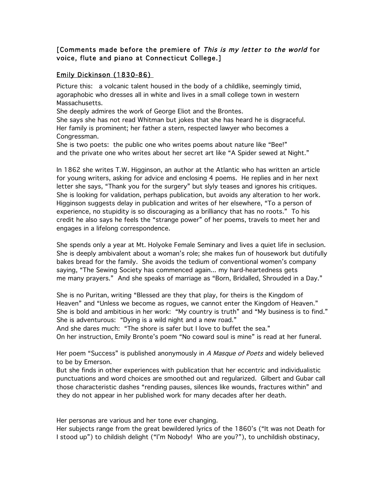## [Comments made before the premiere of This is my letter to the world for voice, flute and piano at Connecticut College.]

## Emily Dickinson (1830-86)

Picture this: a volcanic talent housed in the body of a childlike, seemingly timid, agoraphobic who dresses all in white and lives in a small college town in western Massachusetts.

She deeply admires the work of George Eliot and the Brontes.

She says she has not read Whitman but jokes that she has heard he is disgraceful. Her family is prominent; her father a stern, respected lawyer who becomes a Congressman.

She is two poets: the public one who writes poems about nature like "Bee!" and the private one who writes about her secret art like "A Spider sewed at Night."

In 1862 she writes T.W. Higginson, an author at the Atlantic who has written an article for young writers, asking for advice and enclosing 4 poems. He replies and in her next letter she says, "Thank you for the surgery" but slyly teases and ignores his critiques. She is looking for validation, perhaps publication, but avoids any alteration to her work. Higginson suggests delay in publication and writes of her elsewhere, "To a person of experience, no stupidity is so discouraging as a brilliancy that has no roots." To his credit he also says he feels the "strange power" of her poems, travels to meet her and engages in a lifelong correspondence.

She spends only a year at Mt. Holyoke Female Seminary and lives a quiet life in seclusion. She is deeply ambivalent about a woman's role; she makes fun of housework but dutifully bakes bread for the family. She avoids the tedium of conventional women's company saying, "The Sewing Society has commenced again... my hard-heartedness gets me many prayers." And she speaks of marriage as "Born, Bridalled, Shrouded in a Day."

She is no Puritan, writing "Blessed are they that play, for theirs is the Kingdom of Heaven" and "Unless we become as rogues, we cannot enter the Kingdom of Heaven." She is bold and ambitious in her work: "My country is truth" and "My business is to find." She is adventurous: "Dying is a wild night and a new road."

And she dares much: "The shore is safer but I love to buffet the sea."

On her instruction, Emily Bronte's poem "No coward soul is mine" is read at her funeral.

Her poem "Success" is published anonymously in A Masque of Poets and widely believed to be by Emerson.

But she finds in other experiences with publication that her eccentric and individualistic punctuations and word choices are smoothed out and regularized. Gilbert and Gubar call those characteristic dashes "rending pauses, silences like wounds, fractures within" and they do not appear in her published work for many decades after her death.

Her personas are various and her tone ever changing.

Her subjects range from the great bewildered lyrics of the 1860's ("It was not Death for I stood up") to childish delight ("I'm Nobody! Who are you?"), to unchildish obstinacy,